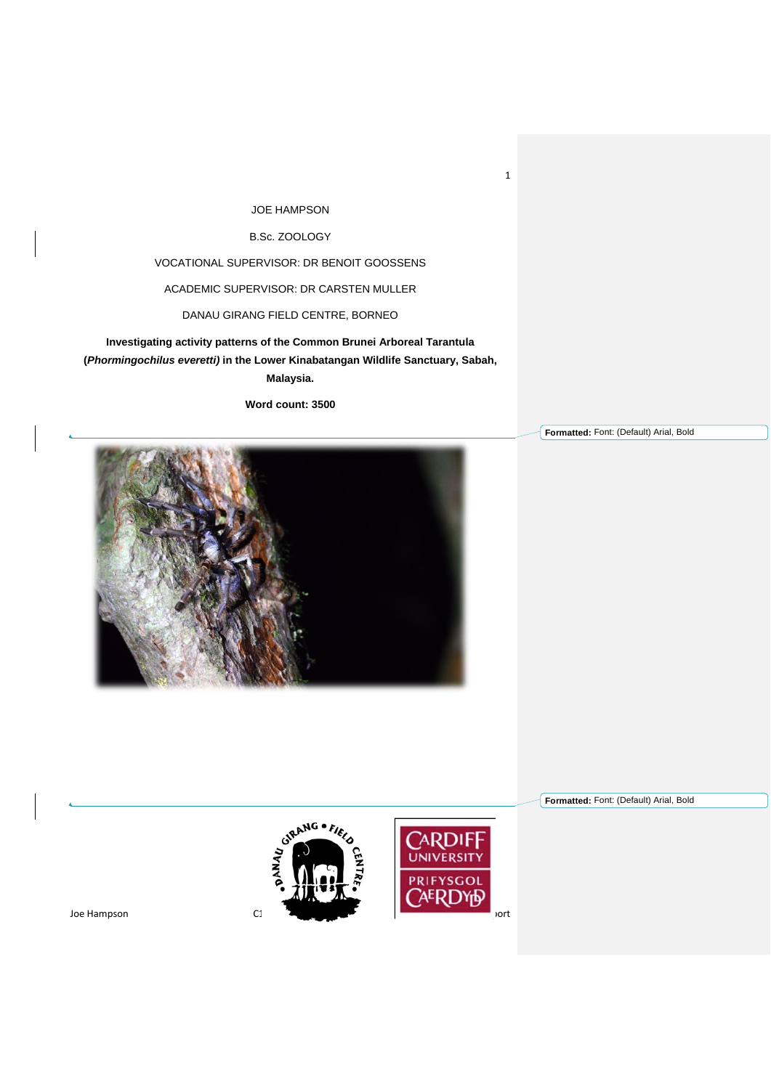JOE HAMPSON

B.Sc. ZOOLOGY

VOCATIONAL SUPERVISOR: DR BENOIT GOOSSENS

ACADEMIC SUPERVISOR: DR CARSTEN MULLER

DANAU GIRANG FIELD CENTRE, BORNEO

## **Investigating activity patterns of the Common Brunei Arboreal Tarantula**

**(***Phormingochilus everetti)* **in the Lower Kinabatangan Wildlife Sanctuary, Sabah,** 

**Malaysia.**

**Word count: 3500**



**Formatted:** Font: (Default) Arial, Bold

1



**Formatted:** Font: (Default) Arial, Bold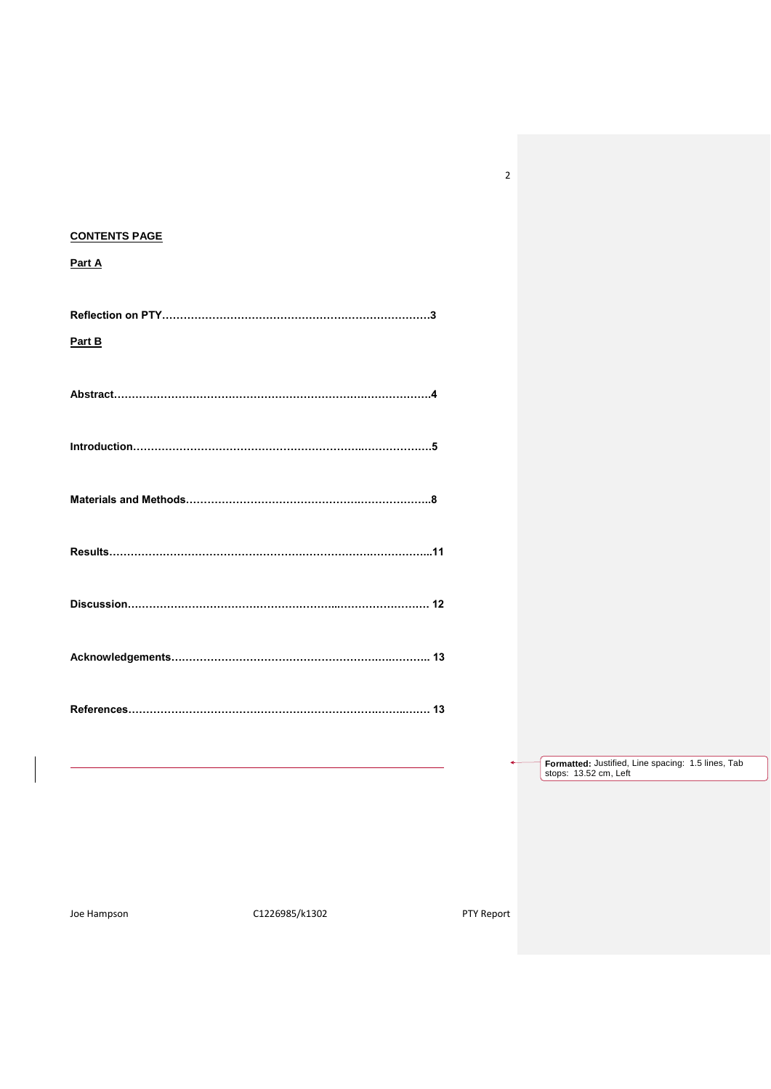# **CONTENTS PAGE**

# **Part A**

| Part B                                                                                                                                                                                                                                                                                             |
|----------------------------------------------------------------------------------------------------------------------------------------------------------------------------------------------------------------------------------------------------------------------------------------------------|
|                                                                                                                                                                                                                                                                                                    |
| $\textbf{Introduction} \textcolor{red}{.}\textcolor{blue}{.}\textcolor{blue}{.}\textcolor{blue}{.}\textcolor{blue}{.}\textcolor{blue}{.}\textcolor{blue}{.}\textcolor{blue}{.}\textcolor{blue}{.}\textcolor{blue}{.}\textcolor{blue}{.}\textcolor{blue}{.}\textcolor{blue}{.}\textcolor{blue}{.}5$ |
|                                                                                                                                                                                                                                                                                                    |
|                                                                                                                                                                                                                                                                                                    |
|                                                                                                                                                                                                                                                                                                    |
|                                                                                                                                                                                                                                                                                                    |
|                                                                                                                                                                                                                                                                                                    |

**Formatted:** Justified, Line spacing: 1.5 lines, Tab stops: 13.52 cm, Left

Joe Hampson **C1226985/k1302 PTY Report**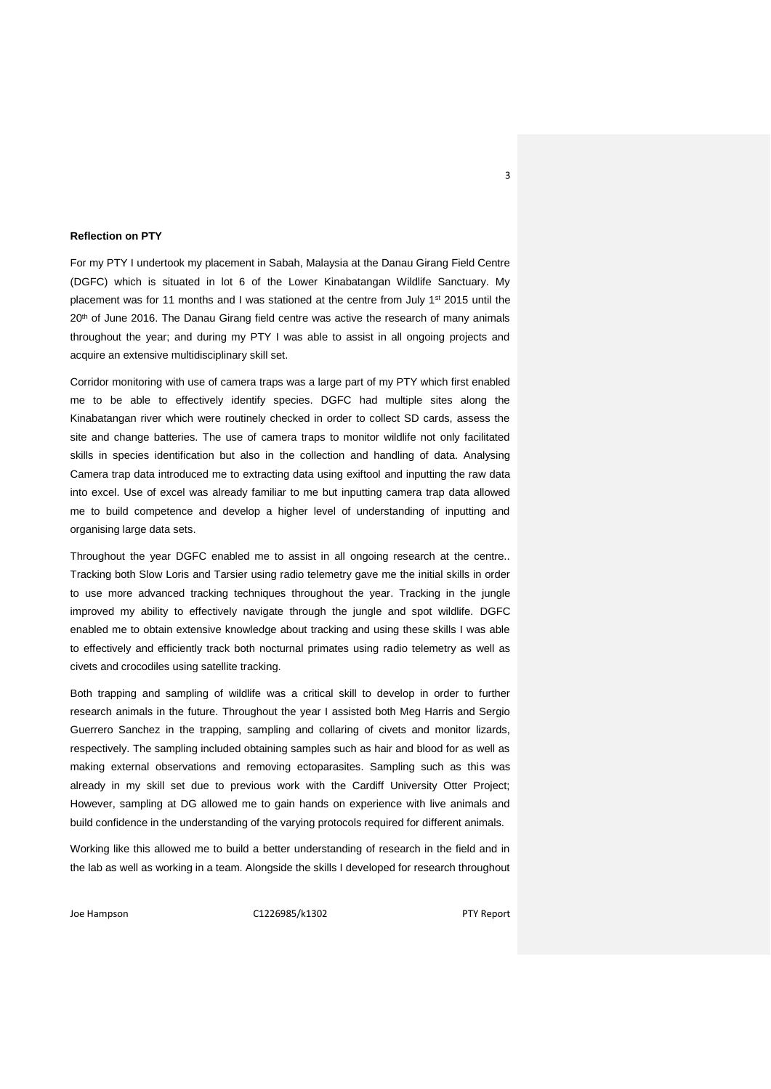#### **Reflection on PTY**

For my PTY I undertook my placement in Sabah, Malaysia at the Danau Girang Field Centre (DGFC) which is situated in lot 6 of the Lower Kinabatangan Wildlife Sanctuary. My placement was for 11 months and I was stationed at the centre from July  $1<sup>st</sup>$  2015 until the 20<sup>th</sup> of June 2016. The Danau Girang field centre was active the research of many animals throughout the year; and during my PTY I was able to assist in all ongoing projects and acquire an extensive multidisciplinary skill set.

Corridor monitoring with use of camera traps was a large part of my PTY which first enabled me to be able to effectively identify species. DGFC had multiple sites along the Kinabatangan river which were routinely checked in order to collect SD cards, assess the site and change batteries. The use of camera traps to monitor wildlife not only facilitated skills in species identification but also in the collection and handling of data. Analysing Camera trap data introduced me to extracting data using exiftool and inputting the raw data into excel. Use of excel was already familiar to me but inputting camera trap data allowed me to build competence and develop a higher level of understanding of inputting and organising large data sets.

Throughout the year DGFC enabled me to assist in all ongoing research at the centre.. Tracking both Slow Loris and Tarsier using radio telemetry gave me the initial skills in order to use more advanced tracking techniques throughout the year. Tracking in the jungle improved my ability to effectively navigate through the jungle and spot wildlife. DGFC enabled me to obtain extensive knowledge about tracking and using these skills I was able to effectively and efficiently track both nocturnal primates using radio telemetry as well as civets and crocodiles using satellite tracking.

Both trapping and sampling of wildlife was a critical skill to develop in order to further research animals in the future. Throughout the year I assisted both Meg Harris and Sergio Guerrero Sanchez in the trapping, sampling and collaring of civets and monitor lizards, respectively. The sampling included obtaining samples such as hair and blood for as well as making external observations and removing ectoparasites. Sampling such as this was already in my skill set due to previous work with the Cardiff University Otter Project; However, sampling at DG allowed me to gain hands on experience with live animals and build confidence in the understanding of the varying protocols required for different animals.

Working like this allowed me to build a better understanding of research in the field and in the lab as well as working in a team. Alongside the skills I developed for research throughout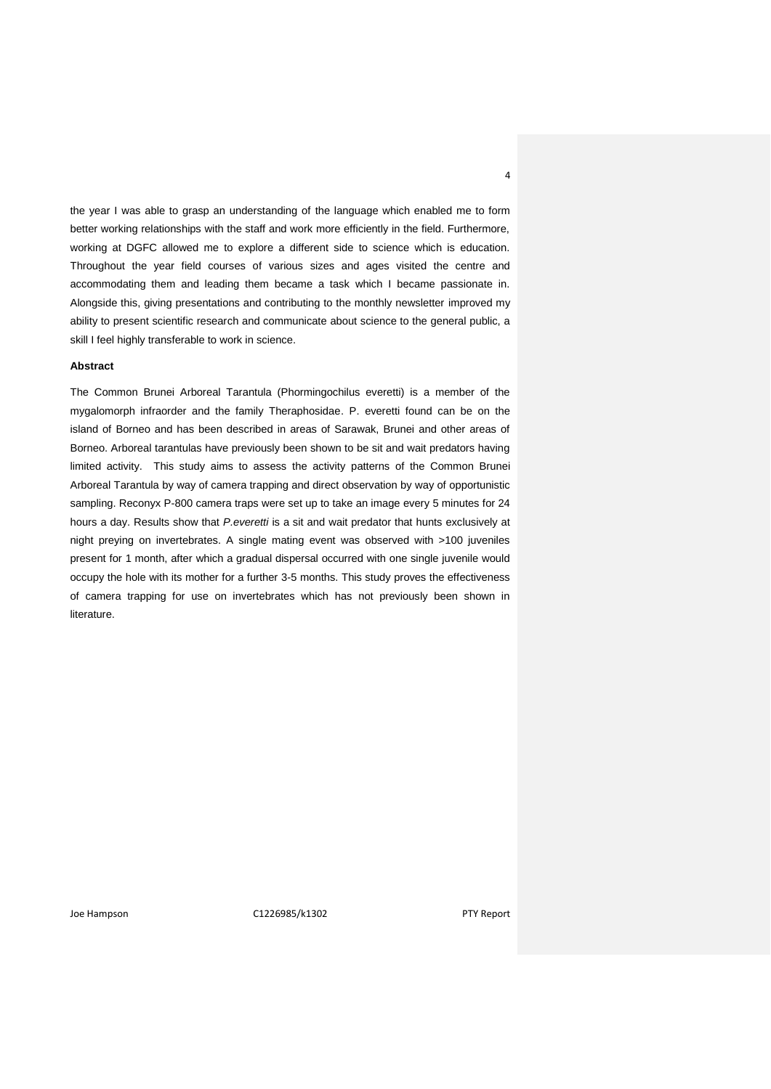the year I was able to grasp an understanding of the language which enabled me to form better working relationships with the staff and work more efficiently in the field. Furthermore, working at DGFC allowed me to explore a different side to science which is education. Throughout the year field courses of various sizes and ages visited the centre and accommodating them and leading them became a task which I became passionate in. Alongside this, giving presentations and contributing to the monthly newsletter improved my ability to present scientific research and communicate about science to the general public, a skill I feel highly transferable to work in science.

#### **Abstract**

The Common Brunei Arboreal Tarantula (Phormingochilus everetti) is a member of the mygalomorph infraorder and the family Theraphosidae. P. everetti found can be on the island of Borneo and has been described in areas of Sarawak, Brunei and other areas of Borneo. Arboreal tarantulas have previously been shown to be sit and wait predators having limited activity. This study aims to assess the activity patterns of the Common Brunei Arboreal Tarantula by way of camera trapping and direct observation by way of opportunistic sampling. Reconyx P-800 camera traps were set up to take an image every 5 minutes for 24 hours a day. Results show that *P.everetti* is a sit and wait predator that hunts exclusively at night preying on invertebrates. A single mating event was observed with >100 juveniles present for 1 month, after which a gradual dispersal occurred with one single juvenile would occupy the hole with its mother for a further 3-5 months. This study proves the effectiveness of camera trapping for use on invertebrates which has not previously been shown in literature.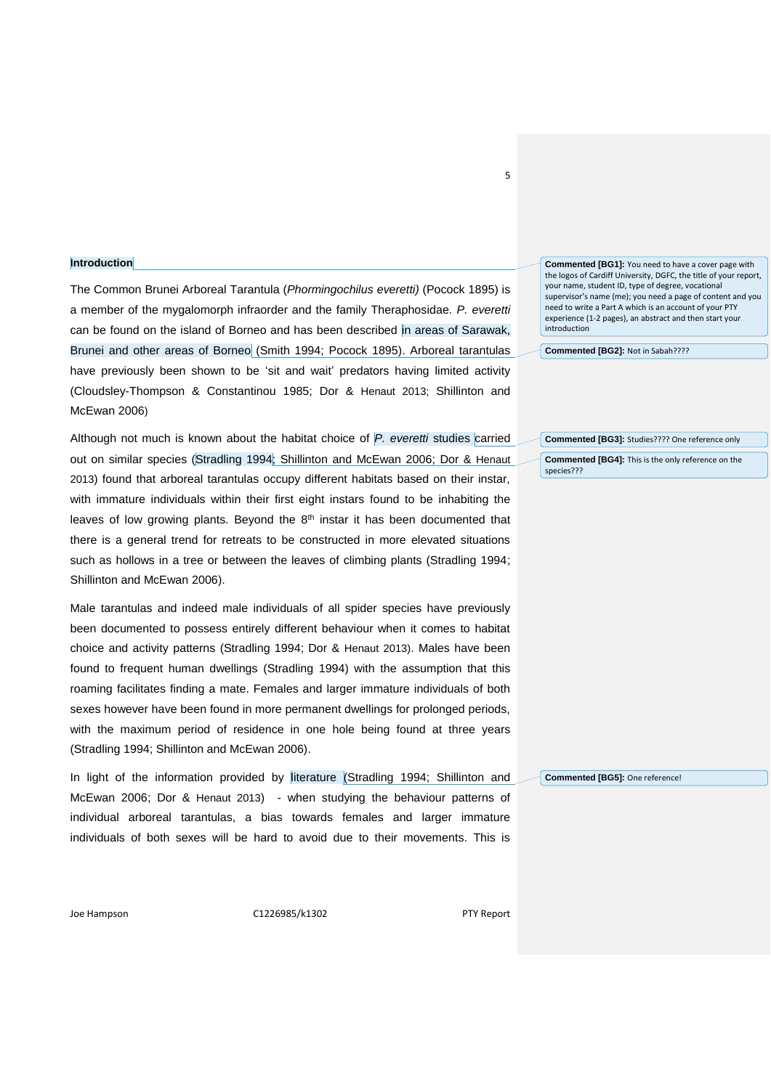#### **Introduction**

The Common Brunei Arboreal Tarantula (*Phormingochilus everetti)* (Pocock 1895) is a member of the mygalomorph infraorder and the family Theraphosidae. *P. everetti* can be found on the island of Borneo and has been described in areas of Sarawak, Brunei and other areas of Borneo (Smith 1994; Pocock 1895). Arboreal tarantulas have previously been shown to be 'sit and wait' predators having limited activity (Cloudsley-Thompson & Constantinou 1985; Dor & Henaut 2013; Shillinton and McEwan 2006)

Although not much is known about the habitat choice of *P. everetti* studies carried out on similar species (Stradling 1994; Shillinton and McEwan 2006; Dor & Henaut 2013) found that arboreal tarantulas occupy different habitats based on their instar, with immature individuals within their first eight instars found to be inhabiting the leaves of low growing plants. Beyond the  $8<sup>th</sup>$  instar it has been documented that there is a general trend for retreats to be constructed in more elevated situations such as hollows in a tree or between the leaves of climbing plants (Stradling 1994; Shillinton and McEwan 2006).

Male tarantulas and indeed male individuals of all spider species have previously been documented to possess entirely different behaviour when it comes to habitat choice and activity patterns (Stradling 1994; Dor & Henaut 2013). Males have been found to frequent human dwellings (Stradling 1994) with the assumption that this roaming facilitates finding a mate. Females and larger immature individuals of both sexes however have been found in more permanent dwellings for prolonged periods, with the maximum period of residence in one hole being found at three years (Stradling 1994; Shillinton and McEwan 2006).

In light of the information provided by literature (Stradling 1994; Shillinton and McEwan 2006; Dor & Henaut 2013) - when studying the behaviour patterns of individual arboreal tarantulas, a bias towards females and larger immature individuals of both sexes will be hard to avoid due to their movements. This is

**Commented [BG1]:** You need to have a cover page with the logos of Cardiff University, DGFC, the title of your report, your name, student ID, type of degree, vocational supervisor's name (me); you need a page of content and you need to write a Part A which is an account of your PTY experience (1-2 pages), an abstract and then start your introduction

**Commented [BG2]:** Not in Sabah????

**Commented [BG3]:** Studies???? One reference only

**Commented [BG4]:** This is the only reference on the species???

**Commented [BG5]:** One reference!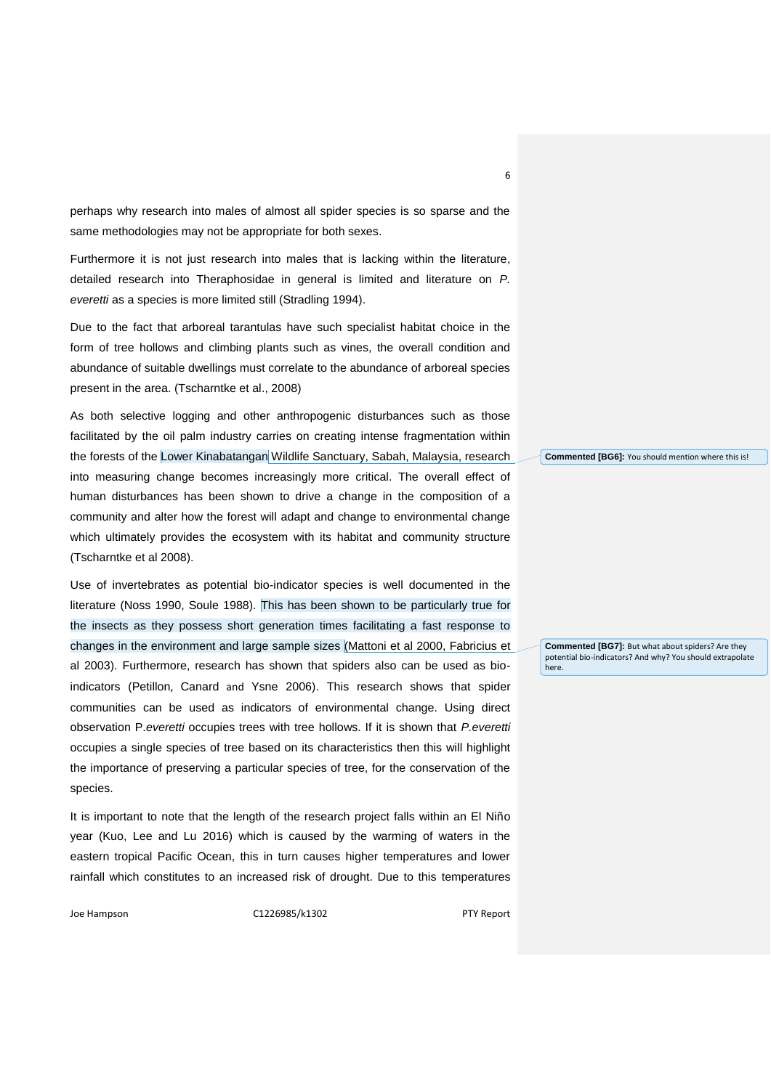perhaps why research into males of almost all spider species is so sparse and the same methodologies may not be appropriate for both sexes.

Furthermore it is not just research into males that is lacking within the literature, detailed research into Theraphosidae in general is limited and literature on *P. everetti* as a species is more limited still (Stradling 1994).

Due to the fact that arboreal tarantulas have such specialist habitat choice in the form of tree hollows and climbing plants such as vines, the overall condition and abundance of suitable dwellings must correlate to the abundance of arboreal species present in the area. (Tscharntke et al., 2008)

As both selective logging and other anthropogenic disturbances such as those facilitated by the oil palm industry carries on creating intense fragmentation within the forests of the Lower Kinabatangan Wildlife Sanctuary, Sabah, Malaysia, research into measuring change becomes increasingly more critical. The overall effect of human disturbances has been shown to drive a change in the composition of a community and alter how the forest will adapt and change to environmental change which ultimately provides the ecosystem with its habitat and community structure (Tscharntke et al 2008).

Use of invertebrates as potential bio-indicator species is well documented in the literature (Noss 1990, Soule 1988). This has been shown to be particularly true for the insects as they possess short generation times facilitating a fast response to changes in the environment and large sample sizes (Mattoni et al 2000, Fabricius et al 2003). Furthermore, research has shown that spiders also can be used as bioindicators (Petillon, Canard and Ysne 2006). This research shows that spider communities can be used as indicators of environmental change. Using direct observation P.*everetti* occupies trees with tree hollows. If it is shown that *P.everetti*  occupies a single species of tree based on its characteristics then this will highlight the importance of preserving a particular species of tree, for the conservation of the species.

It is important to note that the length of the research project falls within an El Niño year (Kuo, Lee and Lu 2016) which is caused by the warming of waters in the eastern tropical Pacific Ocean, this in turn causes higher temperatures and lower rainfall which constitutes to an increased risk of drought. Due to this temperatures

Joe Hampson C1226985/k1302 PTY Report

**Commented [BG6]:** You should mention where this is!

**Commented [BG7]:** But what about spiders? Are they potential bio-indicators? And why? You should extrapolate here.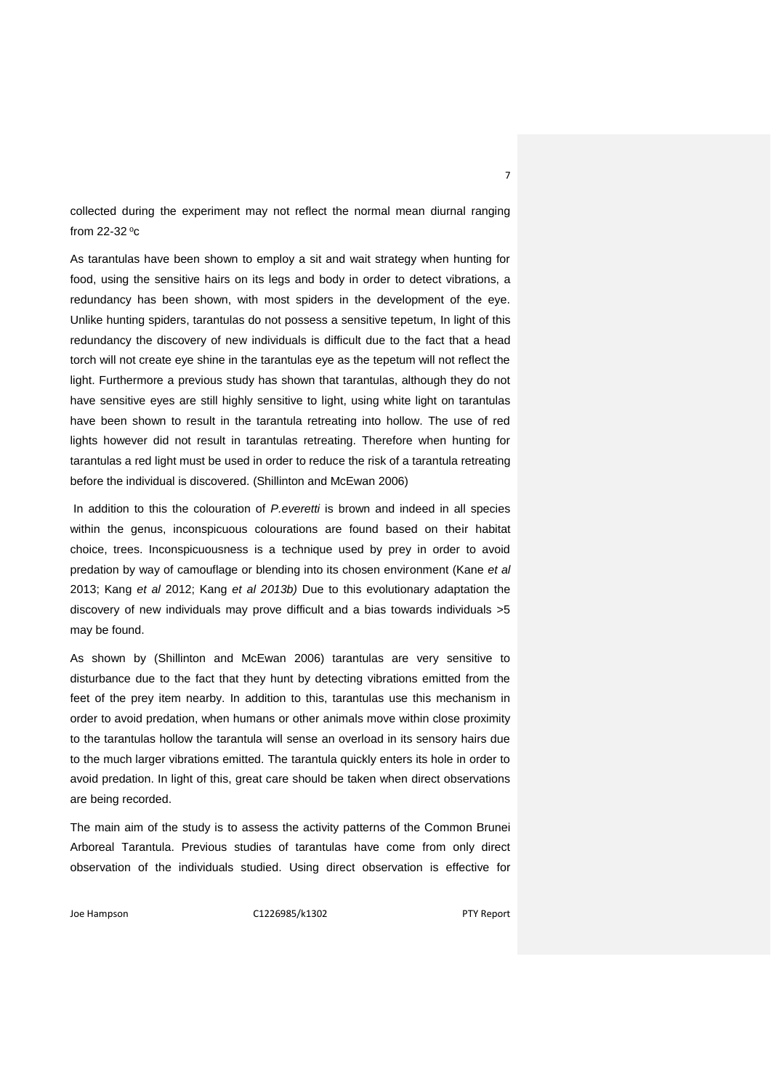collected during the experiment may not reflect the normal mean diurnal ranging from 22-32 <sup>o</sup>c

As tarantulas have been shown to employ a sit and wait strategy when hunting for food, using the sensitive hairs on its legs and body in order to detect vibrations, a redundancy has been shown, with most spiders in the development of the eye. Unlike hunting spiders, tarantulas do not possess a sensitive tepetum, In light of this redundancy the discovery of new individuals is difficult due to the fact that a head torch will not create eye shine in the tarantulas eye as the tepetum will not reflect the light. Furthermore a previous study has shown that tarantulas, although they do not have sensitive eyes are still highly sensitive to light, using white light on tarantulas have been shown to result in the tarantula retreating into hollow. The use of red lights however did not result in tarantulas retreating. Therefore when hunting for tarantulas a red light must be used in order to reduce the risk of a tarantula retreating before the individual is discovered. (Shillinton and McEwan 2006)

In addition to this the colouration of *P.everetti* is brown and indeed in all species within the genus, inconspicuous colourations are found based on their habitat choice, trees. Inconspicuousness is a technique used by prey in order to avoid predation by way of camouflage or blending into its chosen environment (Kane *et al*  2013; Kang *et al* 2012; Kang *et al 2013b)* Due to this evolutionary adaptation the discovery of new individuals may prove difficult and a bias towards individuals >5 may be found.

As shown by (Shillinton and McEwan 2006) tarantulas are very sensitive to disturbance due to the fact that they hunt by detecting vibrations emitted from the feet of the prey item nearby. In addition to this, tarantulas use this mechanism in order to avoid predation, when humans or other animals move within close proximity to the tarantulas hollow the tarantula will sense an overload in its sensory hairs due to the much larger vibrations emitted. The tarantula quickly enters its hole in order to avoid predation. In light of this, great care should be taken when direct observations are being recorded.

The main aim of the study is to assess the activity patterns of the Common Brunei Arboreal Tarantula. Previous studies of tarantulas have come from only direct observation of the individuals studied. Using direct observation is effective for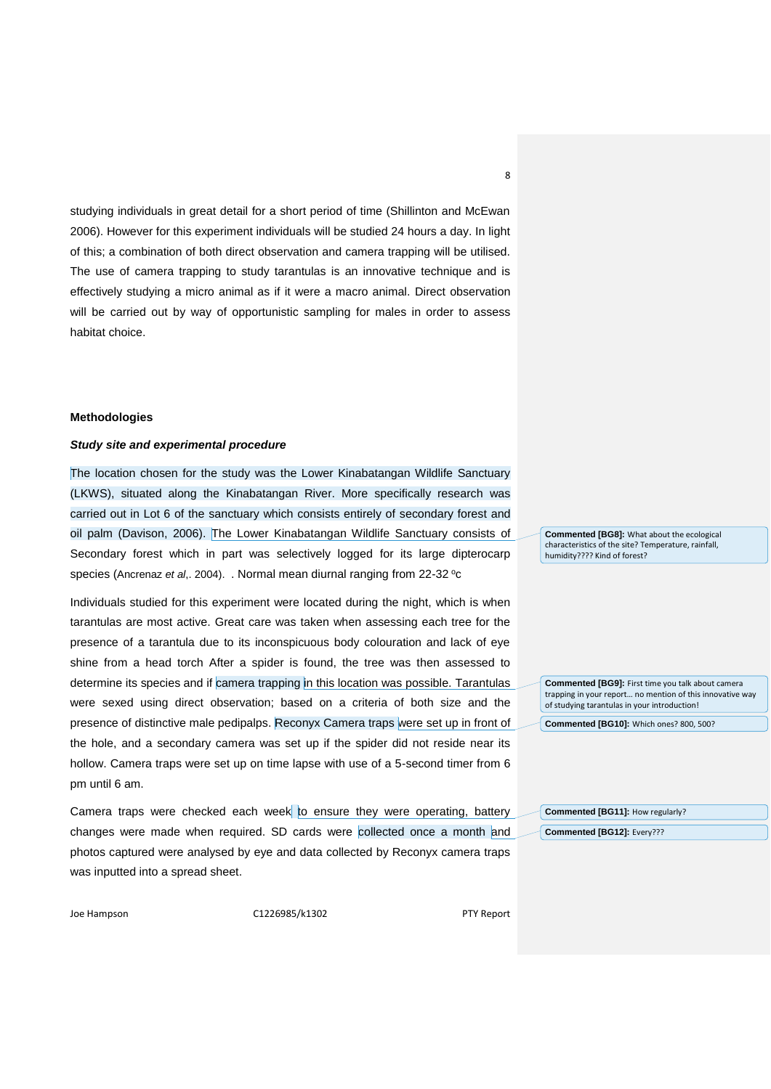studying individuals in great detail for a short period of time (Shillinton and McEwan 2006). However for this experiment individuals will be studied 24 hours a day. In light of this; a combination of both direct observation and camera trapping will be utilised. The use of camera trapping to study tarantulas is an innovative technique and is effectively studying a micro animal as if it were a macro animal. Direct observation will be carried out by way of opportunistic sampling for males in order to assess habitat choice.

### **Methodologies**

## *Study site and experimental procedure*

The location chosen for the study was the Lower Kinabatangan Wildlife Sanctuary (LKWS), situated along the Kinabatangan River. More specifically research was carried out in Lot 6 of the sanctuary which consists entirely of secondary forest and oil palm (Davison, 2006). The Lower Kinabatangan Wildlife Sanctuary consists of Secondary forest which in part was selectively logged for its large dipterocarp species (Ancrenaz *et al*,. 2004). . Normal mean diurnal ranging from 22-32 <sup>o</sup>c

Individuals studied for this experiment were located during the night, which is when tarantulas are most active. Great care was taken when assessing each tree for the presence of a tarantula due to its inconspicuous body colouration and lack of eye shine from a head torch After a spider is found, the tree was then assessed to determine its species and if camera trapping in this location was possible. Tarantulas were sexed using direct observation; based on a criteria of both size and the presence of distinctive male pedipalps. Reconyx Camera traps were set up in front of the hole, and a secondary camera was set up if the spider did not reside near its hollow. Camera traps were set up on time lapse with use of a 5-second timer from 6 pm until 6 am.

Camera traps were checked each week to ensure they were operating, battery changes were made when required. SD cards were collected once a month and photos captured were analysed by eye and data collected by Reconyx camera traps was inputted into a spread sheet.

Joe Hampson C1226985/k1302 PTY Report

**Commented [BG8]:** What about the ecological characteristics of the site? Temperature, rainfall, humidity???? Kind of forest?

**Commented [BG9]:** First time you talk about camera trapping in your report… no mention of this innovative way of studying tarantulas in your introduction!

**Commented [BG10]:** Which ones? 800, 500?

| <b>Commented [BG11]:</b> How regularly? |
|-----------------------------------------|
| Commented [BG12]: Every???              |
|                                         |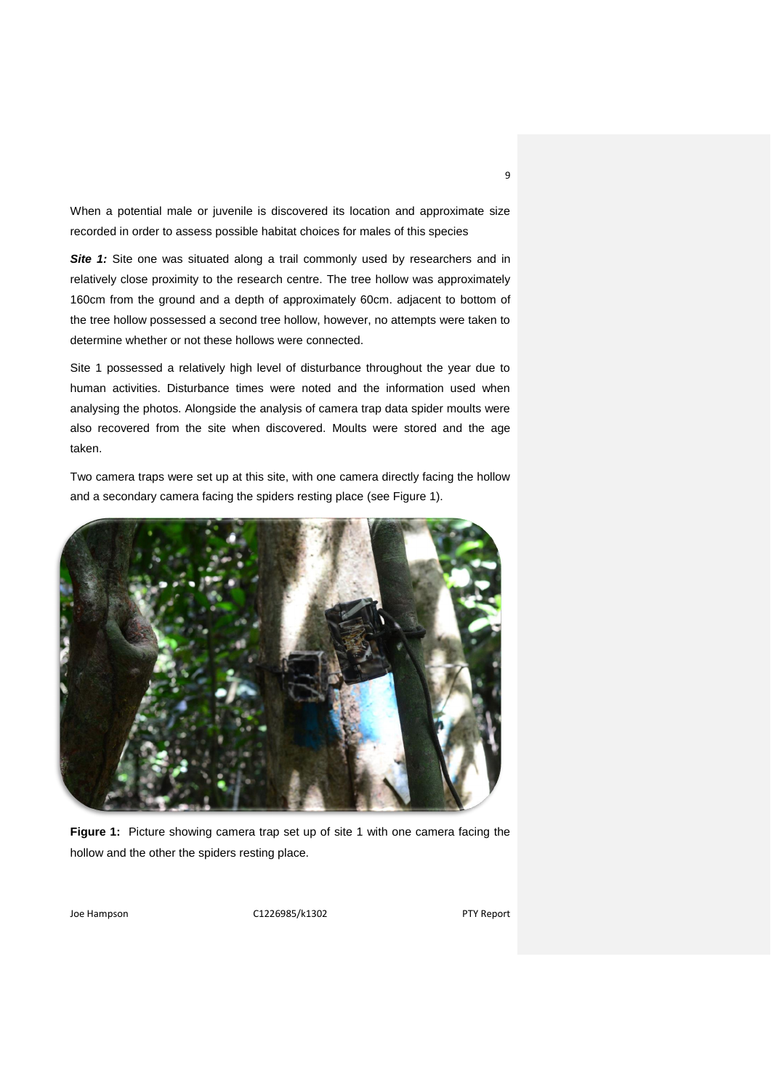When a potential male or juvenile is discovered its location and approximate size recorded in order to assess possible habitat choices for males of this species

**Site 1:** Site one was situated along a trail commonly used by researchers and in relatively close proximity to the research centre. The tree hollow was approximately 160cm from the ground and a depth of approximately 60cm. adjacent to bottom of the tree hollow possessed a second tree hollow, however, no attempts were taken to determine whether or not these hollows were connected.

Site 1 possessed a relatively high level of disturbance throughout the year due to human activities. Disturbance times were noted and the information used when analysing the photos. Alongside the analysis of camera trap data spider moults were also recovered from the site when discovered. Moults were stored and the age taken.

Two camera traps were set up at this site, with one camera directly facing the hollow and a secondary camera facing the spiders resting place (see Figure 1).



**Figure 1:** Picture showing camera trap set up of site 1 with one camera facing the hollow and the other the spiders resting place.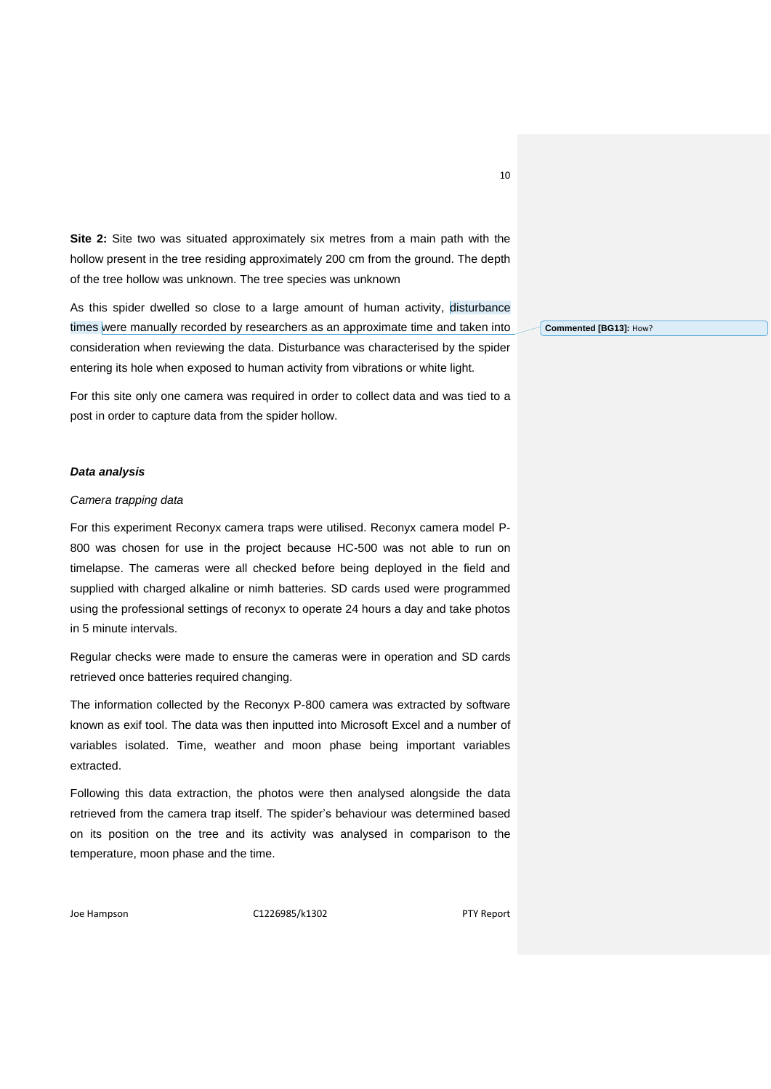**Site 2:** Site two was situated approximately six metres from a main path with the hollow present in the tree residing approximately 200 cm from the ground. The depth of the tree hollow was unknown. The tree species was unknown

As this spider dwelled so close to a large amount of human activity, disturbance times were manually recorded by researchers as an approximate time and taken into consideration when reviewing the data. Disturbance was characterised by the spider entering its hole when exposed to human activity from vibrations or white light.

For this site only one camera was required in order to collect data and was tied to a post in order to capture data from the spider hollow.

### *Data analysis*

#### *Camera trapping data*

For this experiment Reconyx camera traps were utilised. Reconyx camera model P-800 was chosen for use in the project because HC-500 was not able to run on timelapse. The cameras were all checked before being deployed in the field and supplied with charged alkaline or nimh batteries. SD cards used were programmed using the professional settings of reconyx to operate 24 hours a day and take photos in 5 minute intervals.

Regular checks were made to ensure the cameras were in operation and SD cards retrieved once batteries required changing.

The information collected by the Reconyx P-800 camera was extracted by software known as exif tool. The data was then inputted into Microsoft Excel and a number of variables isolated. Time, weather and moon phase being important variables extracted.

Following this data extraction, the photos were then analysed alongside the data retrieved from the camera trap itself. The spider's behaviour was determined based on its position on the tree and its activity was analysed in comparison to the temperature, moon phase and the time.

Joe Hampson C1226985/k1302 PTY Report

**Commented [BG13]:** How?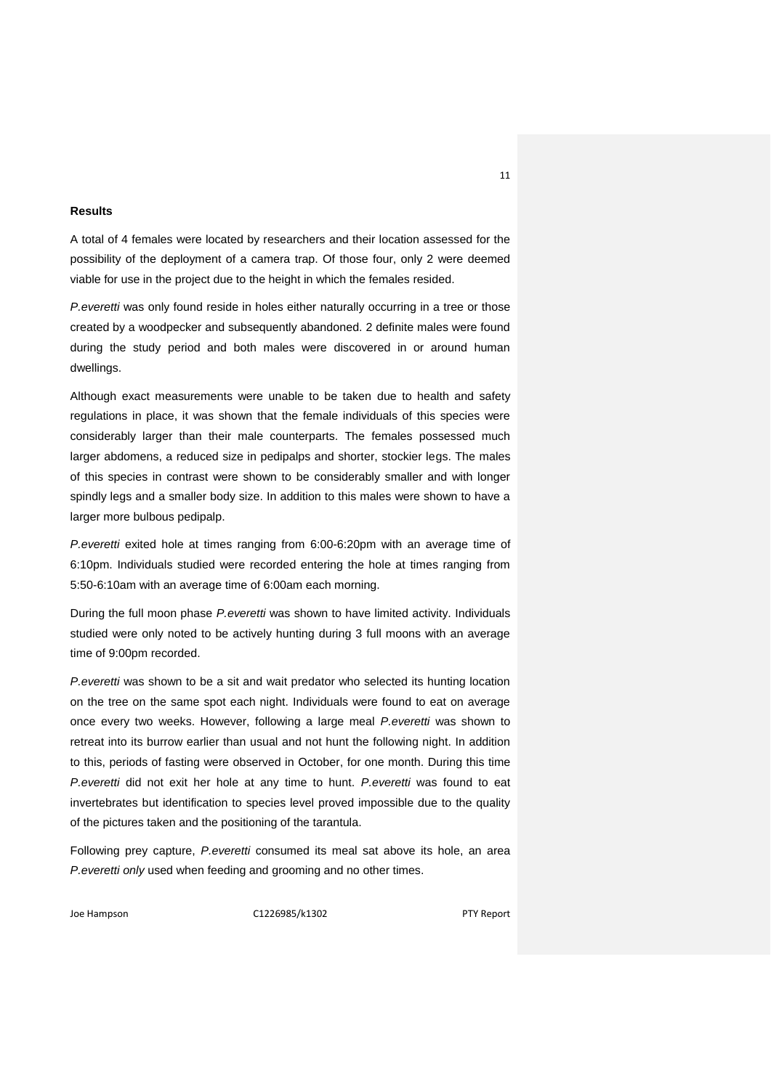## **Results**

A total of 4 females were located by researchers and their location assessed for the possibility of the deployment of a camera trap. Of those four, only 2 were deemed viable for use in the project due to the height in which the females resided.

*P.everetti* was only found reside in holes either naturally occurring in a tree or those created by a woodpecker and subsequently abandoned. 2 definite males were found during the study period and both males were discovered in or around human dwellings.

Although exact measurements were unable to be taken due to health and safety regulations in place, it was shown that the female individuals of this species were considerably larger than their male counterparts. The females possessed much larger abdomens, a reduced size in pedipalps and shorter, stockier legs. The males of this species in contrast were shown to be considerably smaller and with longer spindly legs and a smaller body size. In addition to this males were shown to have a larger more bulbous pedipalp.

*P.everetti* exited hole at times ranging from 6:00-6:20pm with an average time of 6:10pm. Individuals studied were recorded entering the hole at times ranging from 5:50-6:10am with an average time of 6:00am each morning.

During the full moon phase *P.everetti* was shown to have limited activity. Individuals studied were only noted to be actively hunting during 3 full moons with an average time of 9:00pm recorded.

*P.everetti* was shown to be a sit and wait predator who selected its hunting location on the tree on the same spot each night. Individuals were found to eat on average once every two weeks. However, following a large meal *P.everetti* was shown to retreat into its burrow earlier than usual and not hunt the following night. In addition to this, periods of fasting were observed in October, for one month. During this time *P.everetti* did not exit her hole at any time to hunt. *P.everetti* was found to eat invertebrates but identification to species level proved impossible due to the quality of the pictures taken and the positioning of the tarantula.

Following prey capture, *P.everetti* consumed its meal sat above its hole, an area *P.everetti only* used when feeding and grooming and no other times.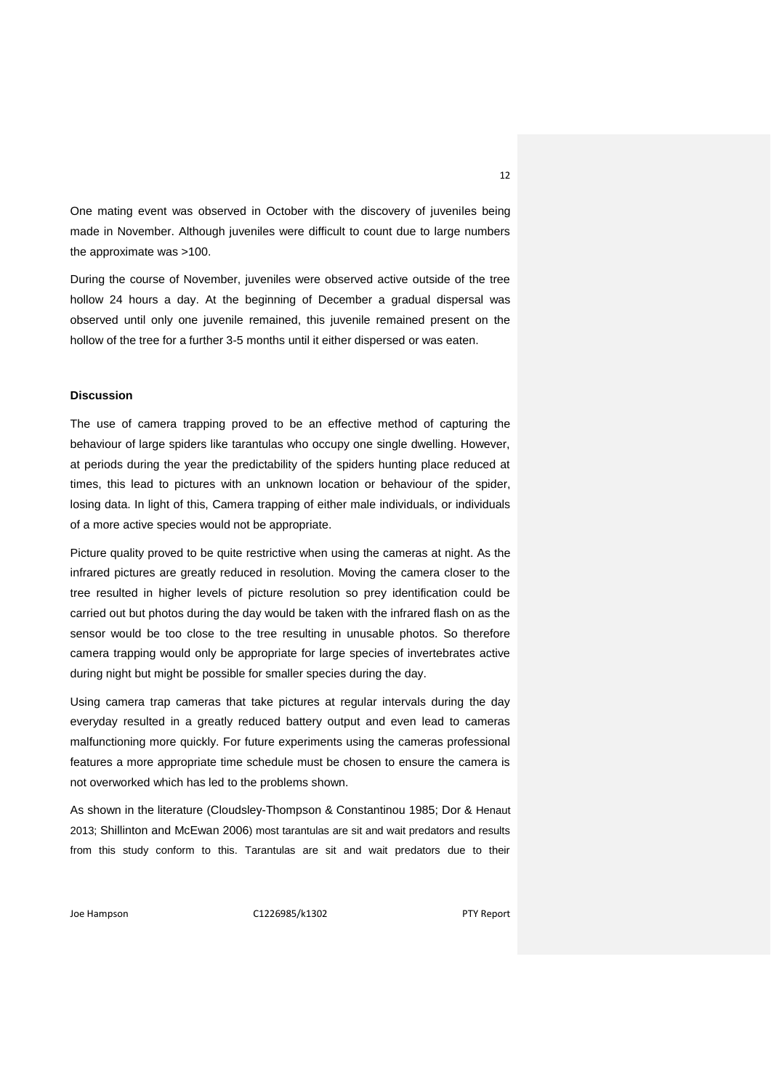One mating event was observed in October with the discovery of juveniles being made in November. Although juveniles were difficult to count due to large numbers the approximate was >100.

During the course of November, juveniles were observed active outside of the tree hollow 24 hours a day. At the beginning of December a gradual dispersal was observed until only one juvenile remained, this juvenile remained present on the hollow of the tree for a further 3-5 months until it either dispersed or was eaten.

## **Discussion**

The use of camera trapping proved to be an effective method of capturing the behaviour of large spiders like tarantulas who occupy one single dwelling. However, at periods during the year the predictability of the spiders hunting place reduced at times, this lead to pictures with an unknown location or behaviour of the spider, losing data. In light of this, Camera trapping of either male individuals, or individuals of a more active species would not be appropriate.

Picture quality proved to be quite restrictive when using the cameras at night. As the infrared pictures are greatly reduced in resolution. Moving the camera closer to the tree resulted in higher levels of picture resolution so prey identification could be carried out but photos during the day would be taken with the infrared flash on as the sensor would be too close to the tree resulting in unusable photos. So therefore camera trapping would only be appropriate for large species of invertebrates active during night but might be possible for smaller species during the day.

Using camera trap cameras that take pictures at regular intervals during the day everyday resulted in a greatly reduced battery output and even lead to cameras malfunctioning more quickly. For future experiments using the cameras professional features a more appropriate time schedule must be chosen to ensure the camera is not overworked which has led to the problems shown.

As shown in the literature (Cloudsley-Thompson & Constantinou 1985; Dor & Henaut 2013; Shillinton and McEwan 2006) most tarantulas are sit and wait predators and results from this study conform to this. Tarantulas are sit and wait predators due to their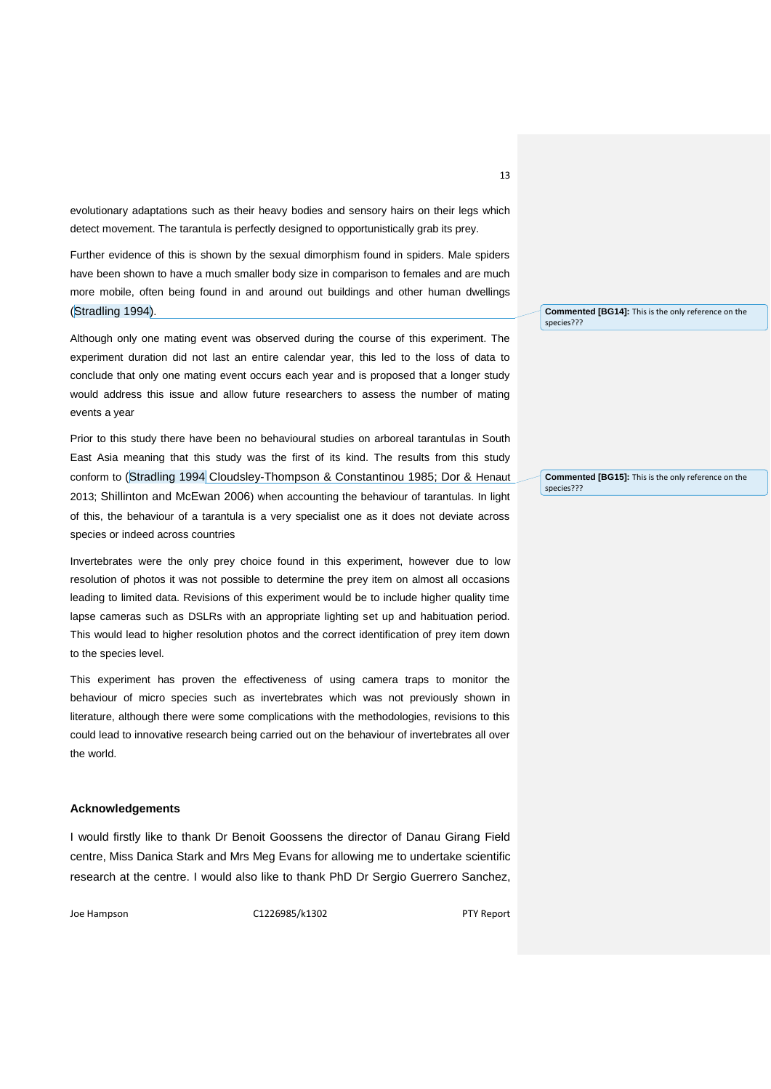evolutionary adaptations such as their heavy bodies and sensory hairs on their legs which detect movement. The tarantula is perfectly designed to opportunistically grab its prey.

Further evidence of this is shown by the sexual dimorphism found in spiders. Male spiders have been shown to have a much smaller body size in comparison to females and are much more mobile, often being found in and around out buildings and other human dwellings (Stradling 1994).

Although only one mating event was observed during the course of this experiment. The experiment duration did not last an entire calendar year, this led to the loss of data to conclude that only one mating event occurs each year and is proposed that a longer study would address this issue and allow future researchers to assess the number of mating events a year

Prior to this study there have been no behavioural studies on arboreal tarantulas in South East Asia meaning that this study was the first of its kind. The results from this study conform to (Stradling 1994 Cloudsley-Thompson & Constantinou 1985; Dor & Henaut 2013; Shillinton and McEwan 2006) when accounting the behaviour of tarantulas. In light of this, the behaviour of a tarantula is a very specialist one as it does not deviate across species or indeed across countries

Invertebrates were the only prey choice found in this experiment, however due to low resolution of photos it was not possible to determine the prey item on almost all occasions leading to limited data. Revisions of this experiment would be to include higher quality time lapse cameras such as DSLRs with an appropriate lighting set up and habituation period. This would lead to higher resolution photos and the correct identification of prey item down to the species level.

This experiment has proven the effectiveness of using camera traps to monitor the behaviour of micro species such as invertebrates which was not previously shown in literature, although there were some complications with the methodologies, revisions to this could lead to innovative research being carried out on the behaviour of invertebrates all over the world.

#### **Acknowledgements**

I would firstly like to thank Dr Benoit Goossens the director of Danau Girang Field centre, Miss Danica Stark and Mrs Meg Evans for allowing me to undertake scientific research at the centre. I would also like to thank PhD Dr Sergio Guerrero Sanchez,

Joe Hampson C1226985/k1302 PTY Report

**Commented [BG14]:** This is the only reference on the species???

**Commented [BG15]:** This is the only reference on the species???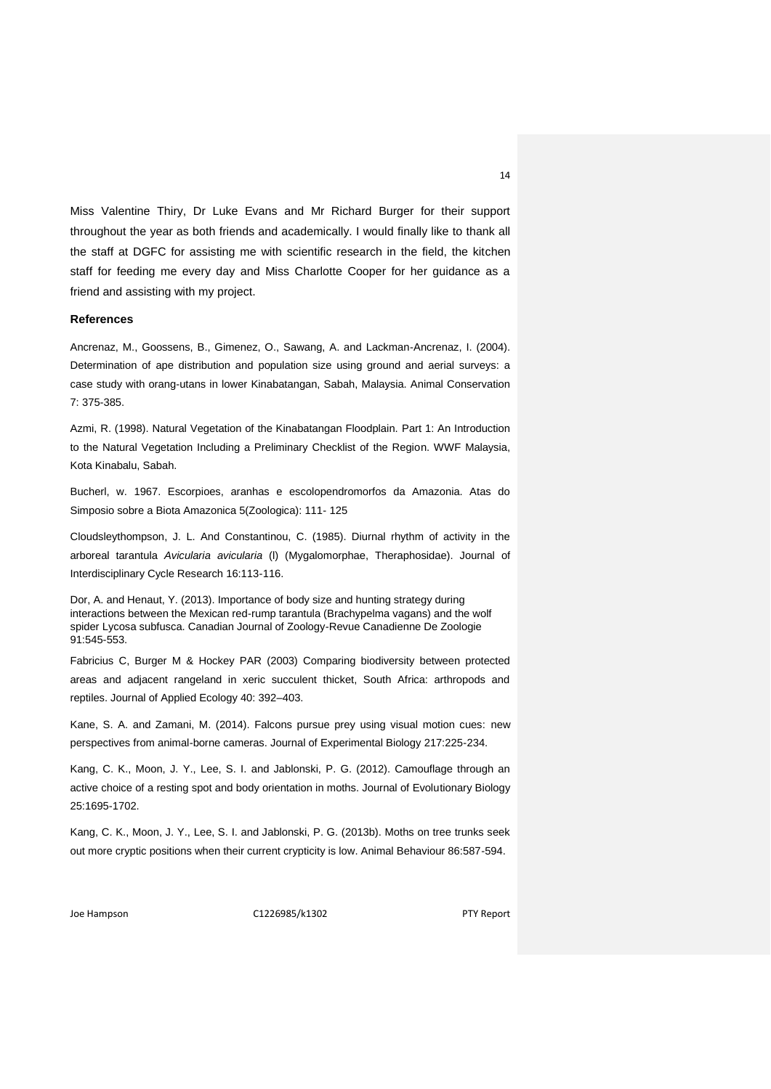Miss Valentine Thiry, Dr Luke Evans and Mr Richard Burger for their support throughout the year as both friends and academically. I would finally like to thank all the staff at DGFC for assisting me with scientific research in the field, the kitchen staff for feeding me every day and Miss Charlotte Cooper for her guidance as a friend and assisting with my project.

### **References**

Ancrenaz, M., Goossens, B., Gimenez, O., Sawang, A. and Lackman-Ancrenaz, I. (2004). Determination of ape distribution and population size using ground and aerial surveys: a case study with orang-utans in lower Kinabatangan, Sabah, Malaysia. Animal Conservation 7: 375-385.

Azmi, R. (1998). Natural Vegetation of the Kinabatangan Floodplain. Part 1: An Introduction to the Natural Vegetation Including a Preliminary Checklist of the Region. WWF Malaysia, Kota Kinabalu, Sabah.

Bucherl, w. 1967. Escorpioes, aranhas e escolopendromorfos da Amazonia. Atas do Simposio sobre a Biota Amazonica 5(Zoologica): 111- 125

Cloudsleythompson, J. L. And Constantinou, C. (1985). Diurnal rhythm of activity in the arboreal tarantula *Avicularia avicularia* (l) (Mygalomorphae, Theraphosidae). Journal of Interdisciplinary Cycle Research 16:113-116.

Dor, A. and Henaut, Y. (2013). Importance of body size and hunting strategy during interactions between the Mexican red-rump tarantula (Brachypelma vagans) and the wolf spider Lycosa subfusca. Canadian Journal of Zoology-Revue Canadienne De Zoologie 91:545-553.

Fabricius C, Burger M & Hockey PAR (2003) Comparing biodiversity between protected areas and adjacent rangeland in xeric succulent thicket, South Africa: arthropods and reptiles. Journal of Applied Ecology 40: 392–403.

Kane, S. A. and Zamani, M. (2014). Falcons pursue prey using visual motion cues: new perspectives from animal-borne cameras. Journal of Experimental Biology 217:225-234.

Kang, C. K., Moon, J. Y., Lee, S. I. and Jablonski, P. G. (2012). Camouflage through an active choice of a resting spot and body orientation in moths. Journal of Evolutionary Biology 25:1695-1702.

Kang, C. K., Moon, J. Y., Lee, S. I. and Jablonski, P. G. (2013b). Moths on tree trunks seek out more cryptic positions when their current crypticity is low. Animal Behaviour 86:587-594.